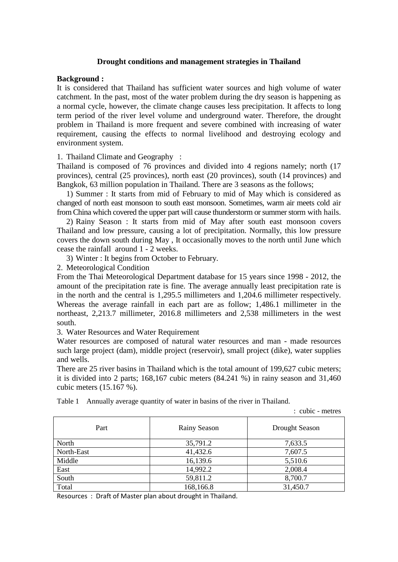## **Drought conditions and management strategies in Thailand**

### **Background :**

It is considered that Thailand has sufficient water sources and high volume of water catchment. In the past, most of the water problem during the dry season is happening as a normal cycle, however, the climate change causes less precipitation. It affects to long term period of the river level volume and underground water. Therefore, the drought problem in Thailand is more frequent and severe combined with increasing of water requirement, causing the effects to normal livelihood and destroying ecology and environment system.

1. Thailand Climate and Geography :

Thailand is composed of 76 provinces and divided into 4 regions namely; north (17 provinces), central (25 provinces), north east (20 provinces), south (14 provinces) and Bangkok, 63 million population in Thailand. There are 3 seasons as the follows;

1) Summer : It starts from mid of February to mid of May which is considered as changed of north east monsoon to south east monsoon. Sometimes, warm air meets cold air from China which covered the upper part will cause thunderstorm or summer storm with hails.

2) Rainy Season : It starts from mid of May after south east monsoon covers Thailand and low pressure, causing a lot of precipitation. Normally, this low pressure covers the down south during May , It occasionally moves to the north until June which cease the rainfall around 1 - 2 weeks.

3) Winter : It begins from October to February.

2. Meteorological Condition

From the Thai Meteorological Department database for 15 years since 1998 - 2012, the amount of the precipitation rate is fine. The average annually least precipitation rate is in the north and the central is 1,295.5 millimeters and 1,204.6 millimeter respectively. Whereas the average rainfall in each part are as follow; 1,486.1 millimeter in the northeast, 2,213.7 millimeter, 2016.8 millimeters and 2,538 millimeters in the west south.

3. Water Resources and Water Requirement

Water resources are composed of natural water resources and man - made resources such large project (dam), middle project (reservoir), small project (dike), water supplies and wells.

There are 25 river basins in Thailand which is the total amount of 199,627 cubic meters; it is divided into 2 parts; 168,167 cubic meters (84.241 %) in rainy season and 31,460 cubic meters (15.167 %).

Table 1 Annually average quantity of water in basins of the river in Thailand.

: cubic - metres

| Part       | Rainy Season | Drought Season |
|------------|--------------|----------------|
| North      | 35,791.2     | 7,633.5        |
| North-East | 41,432.6     | 7,607.5        |
| Middle     | 16,139.6     | 5,510.6        |
| East       | 14,992.2     | 2,008.4        |
| South      | 59,811.2     | 8,700.7        |
| Total      | 168,166.8    | 31,450.7       |

Resources : Draft of Master plan about drought in Thailand.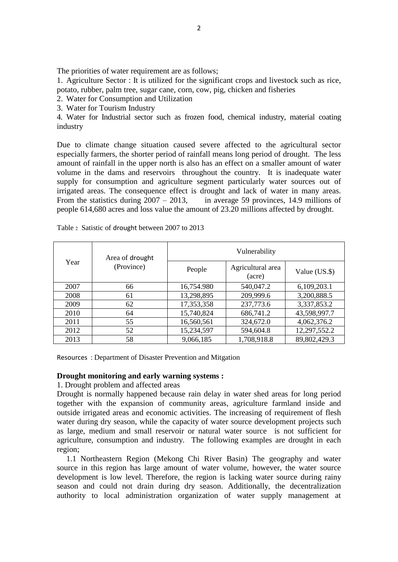The priorities of water requirement are as follows:

1. Agriculture Sector : It is utilized for the significant crops and livestock such as rice, potato, rubber, palm tree, sugar cane, corn, cow, pig, chicken and fisheries

2. Water for Consumption and Utilization

3. Water for Tourism Industry

4. Water for Industrial sector such as frozen food, chemical industry, material coating industry

Due to climate change situation caused severe affected to the agricultural sector especially farmers, the shorter period of rainfall means long period of drought. The less amount of rainfall in the upper north is also has an effect on a smaller amount of water volume in the dams and reservoirs throughout the country. It is inadequate water supply for consumption and agriculture segment particularly water sources out of irrigated areas. The consequence effect is drought and lack of water in many areas. From the statistics during  $2007 - 2013$ , in average 59 provinces, 14.9 millions of people 614,680 acres and loss value the amount of 23.20 millions affected by drought.

| Year | Area of drought<br>(Province) | Vulnerability |                             |               |
|------|-------------------------------|---------------|-----------------------------|---------------|
|      |                               | People        | Agricultural area<br>(acre) | Value (US.\$) |
| 2007 | 66                            | 16,754.980    | 540,047.2                   | 6,109,203.1   |
| 2008 | 61                            | 13,298,895    | 209,999.6                   | 3,200,888.5   |
| 2009 | 62                            | 17,353,358    | 237,773.6                   | 3,337,853.2   |
| 2010 | 64                            | 15,740,824    | 686,741.2                   | 43,598,997.7  |
| 2011 | 55                            | 16,560,561    | 324,672.0                   | 4,062,376.2   |
| 2012 | 52                            | 15,234,597    | 594,604.8                   | 12,297,552.2  |
| 2013 | 58                            | 9,066,185     | 1,708,918.8                 | 89,802,429.3  |

Table 2 Satistic of drought between 2007 to 2013

Resources : Department of Disaster Prevention and Mitgation

### **Drought monitoring and early warning systems :**

1. Drought problem and affected areas

Drought is normally happened because rain delay in water shed areas for long period together with the expansion of community areas, agriculture farmland inside and outside irrigated areas and economic activities. The increasing of requirement of flesh water during dry season, while the capacity of water source development projects such as large, medium and small reservoir or natural water source is not sufficient for agriculture, consumption and industry. The following examples are drought in each region;

1.1 Northeastern Region (Mekong Chi River Basin) The geography and water source in this region has large amount of water volume, however, the water source development is low level. Therefore, the region is lacking water source during rainy season and could not drain during dry season. Additionally, the decentralization authority to local administration organization of water supply management at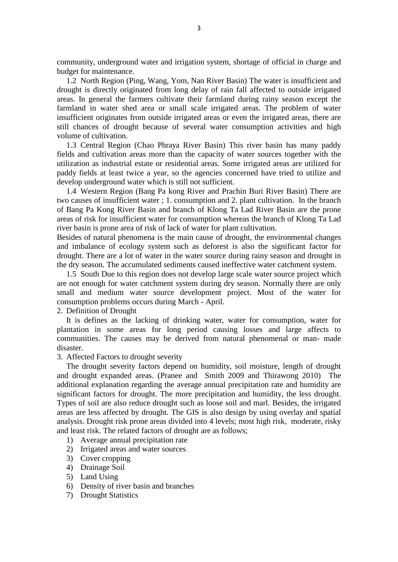community, underground water and irrigation system, shortage of official in charge and budget for maintenance.

1.2 North Region (Ping, Wang, Yom, Nan River Basin) The water is insufficient and drought is directly originated from long delay of rain fall affected to outside irrigated areas. In general the farmers cultivate their farmland during rainy season except the farmland in water shed area or small scale irrigated areas. The problem of water insufficient originates from outside irrigated areas or even the irrigated areas, there are still chances of drought because of several water consumption activities and high volume of cultivation.

1.3 Central Region (Chao Phraya River Basin) This river basin has many paddy fields and cultivation areas more than the capacity of water sources together with the utilization as industrial estate or residential areas. Some irrigated areas are utilized for paddy fields at least twice a year, so the agencies concerned have tried to utilize and develop underground water which is still not sufficient.

1.4 Western Region (Bang Pa kong River and Prachin Buri River Basin) There are two causes of insufficient water ; 1. consumption and 2. plant cultivation. In the branch of Bang Pa Kong River Basin and branch of Klong Ta Lad River Basin are the prone areas of risk for insufficient water for consumption whereas the branch of Klong Ta Lad river basin is prone area of risk of lack of water for plant cultivation.

Besides of natural phenomena is the main cause of drought, the environmental changes and imbalance of ecology system such as deforest is also the significant factor for drought. There are a lot of water in the water source during rainy season and drought in the dry season. The accumulated sediments caused ineffective water catchment system.

1.5 South Due to this region does not develop large scale water source project which are not enough for water catchment system during dry season. Normally there are only small and medium water source development project. Most of the water for consumption problems occurs during March - April.

2. Definition of Drought

It is defines as the lacking of drinking water, water for consumption, water for plantation in some areas for long period causing losses and large affects to communities. The causes may be derived from natural phenomenal or man- made disaster.

#### 3. Affected Factors to drought severity

The drought severity factors depend on humidity, soil moisture, length of drought and drought expanded areas. (Pranee and Smith 2009 and Thirawong 2010) The additional explanation regarding the average annual precipitation rate and humidity are significant factors for drought. The more precipitation and humidity, the less drought. Types of soil are also reduce drought such as loose soil and marl. Besides, the irrigated areas are less affected by drought. The GIS is also design by using overlay and spatial analysis. Drought risk prone areas divided into 4 levels; most high risk, moderate, risky and least risk. The related factors of drought are as follows;

- 1) Average annual precipitation rate
- 2) Irrigated areas and water sources
- 3) Cover cropping
- 4) Drainage Soil
- 5) Land Using
- 6) Density of river basin and branches
- 7) Drought Statistics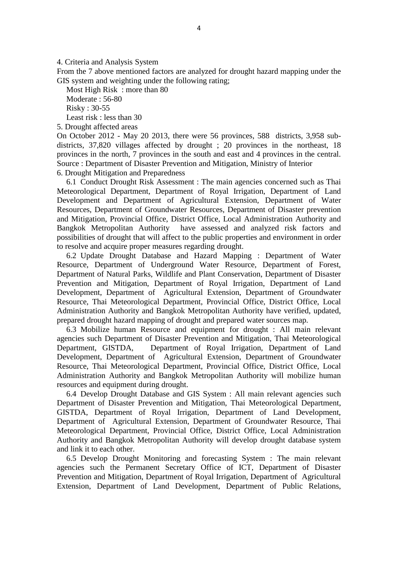4. Criteria and Analysis System

From the 7 above mentioned factors are analyzed for drought hazard mapping under the GIS system and weighting under the following rating;

Most High Risk : more than 80 Moderate : 56-80 Risky : 30-55 Least risk : less than 30

5. Drought affected areas

On October 2012 - May 20 2013, there were 56 provinces, 588 districts, 3,958 subdistricts, 37,820 villages affected by drought ; 20 provinces in the northeast, 18 provinces in the north, 7 provinces in the south and east and 4 provinces in the central. Source : Department of Disaster Prevention and Mitigation, Ministry of Interior 6. Drought Mitigation and Preparedness

6.1 Conduct Drought Risk Assessment : The main agencies concerned such as Thai Meteorological Department, Department of Royal Irrigation, Department of Land Development and Department of Agricultural Extension, Department of Water Resources, Department of Groundwater Resources, Department of Disaster prevention and Mitigation, Provincial Office, District Office, Local Administration Authority and Bangkok Metropolitan Authority have assessed and analyzed risk factors and possibilities of drought that will affect to the public properties and environment in order to resolve and acquire proper measures regarding drought.

6.2 Update Drought Database and Hazard Mapping : Department of Water Resource, Department of Underground Water Resource, Department of Forest, Department of Natural Parks, Wildlife and Plant Conservation, Department of Disaster Prevention and Mitigation, Department of Royal Irrigation, Department of Land Development, Department of Agricultural Extension, Department of Groundwater Resource, Thai Meteorological Department, Provincial Office, District Office, Local Administration Authority and Bangkok Metropolitan Authority have verified, updated, prepared drought hazard mapping of drought and prepared water sources map.

6.3 Mobilize human Resource and equipment for drought : All main relevant agencies such Department of Disaster Prevention and Mitigation, Thai Meteorological Department, GISTDA, Department of Royal Irrigation, Department of Land Development, Department of Agricultural Extension, Department of Groundwater Resource, Thai Meteorological Department, Provincial Office, District Office, Local Administration Authority and Bangkok Metropolitan Authority will mobilize human resources and equipment during drought.

6.4 Develop Drought Database and GIS System : All main relevant agencies such Department of Disaster Prevention and Mitigation, Thai Meteorological Department, GISTDA, Department of Royal Irrigation, Department of Land Development, Department of Agricultural Extension, Department of Groundwater Resource, Thai Meteorological Department, Provincial Office, District Office, Local Administration Authority and Bangkok Metropolitan Authority will develop drought database system and link it to each other.

6.5 Develop Drought Monitoring and forecasting System : The main relevant agencies such the Permanent Secretary Office of ICT, Department of Disaster Prevention and Mitigation, Department of Royal Irrigation, Department of Agricultural Extension, Department of Land Development, Department of Public Relations,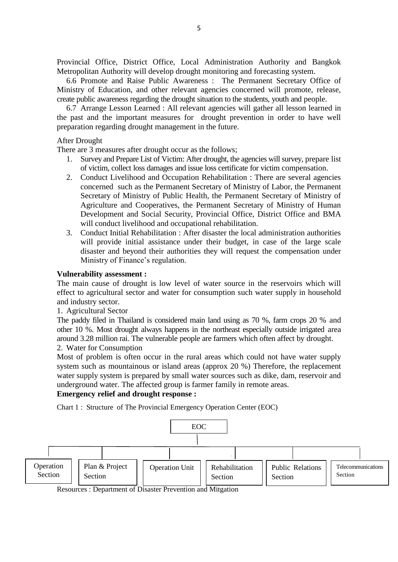Provincial Office, District Office, Local Administration Authority and Bangkok Metropolitan Authority will develop drought monitoring and forecasting system.

6.6 Promote and Raise Public Awareness : The Permanent Secretary Office of Ministry of Education, and other relevant agencies concerned will promote, release, create public awareness regarding the drought situation to the students, youth and people.

6.7 Arrange Lesson Learned : All relevant agencies will gather all lesson learned in the past and the important measures for drought prevention in order to have well preparation regarding drought management in the future.

### After Drought

There are 3 measures after drought occur as the follows;

- 1. Survey and Prepare List of Victim: After drought, the agencies will survey, prepare list of victim, collect loss damages and issue loss certificate for victim compensation.
- 2. Conduct Livelihood and Occupation Rehabilitation : There are several agencies concerned such as the Permanent Secretary of Ministry of Labor, the Permanent Secretary of Ministry of Public Health, the Permanent Secretary of Ministry of Agriculture and Cooperatives, the Permanent Secretary of Ministry of Human Development and Social Security, Provincial Office, District Office and BMA will conduct livelihood and occupational rehabilitation.
- 3. Conduct Initial Rehabilitation : After disaster the local administration authorities will provide initial assistance under their budget, in case of the large scale disaster and beyond their authorities they will request the compensation under Ministry of Finance's regulation.

### **Vulnerability assessment :**

The main cause of drought is low level of water source in the reservoirs which will effect to agricultural sector and water for consumption such water supply in household and industry sector.

## 1. Agricultural Sector

The paddy filed in Thailand is considered main land using as 70 %, farm crops 20 % and other 10 %. Most drought always happens in the northeast especially outside irrigated area around 3.28 million rai. The vulnerable people are farmers which often affect by drought.

# 2. Water for Consumption

Most of problem is often occur in the rural areas which could not have water supply system such as mountainous or island areas (approx 20 %) Therefore, the replacement water supply system is prepared by small water sources such as dike, dam, reservoir and underground water. The affected group is farmer family in remote areas.

## **Emergency relief and drought response :**

Chart 1 : Structure of The Provincial Emergency Operation Center (EOC)



Resources : Department of Disaster Prevention and Mitgation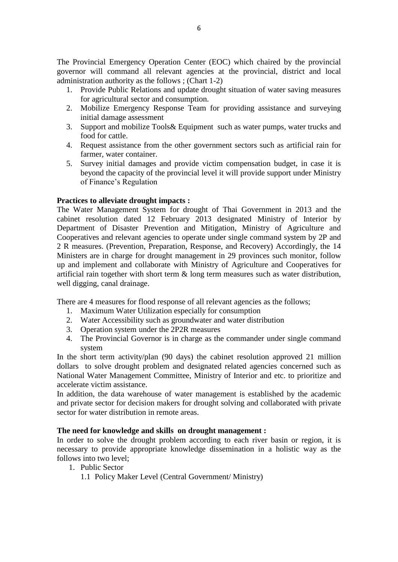The Provincial Emergency Operation Center (EOC) which chaired by the provincial governor will command all relevant agencies at the provincial, district and local administration authority as the follows ; (Chart 1-2)

- 1. Provide Public Relations and update drought situation of water saving measures for agricultural sector and consumption.
- 2. Mobilize Emergency Response Team for providing assistance and surveying initial damage assessment
- 3. Support and mobilize Tools& Equipment such as water pumps, water trucks and food for cattle.
- 4. Request assistance from the other government sectors such as artificial rain for farmer, water container.
- 5. Survey initial damages and provide victim compensation budget, in case it is beyond the capacity of the provincial level it will provide support under Ministry of Finance's Regulation

# **Practices to alleviate drought impacts :**

The Water Management System for drought of Thai Government in 2013 and the cabinet resolution dated 12 February 2013 designated Ministry of Interior by Department of Disaster Prevention and Mitigation, Ministry of Agriculture and Cooperatives and relevant agencies to operate under single command system by 2P and 2 R measures. (Prevention, Preparation, Response, and Recovery) Accordingly, the 14 Ministers are in charge for drought management in 29 provinces such monitor, follow up and implement and collaborate with Ministry of Agriculture and Cooperatives for artificial rain together with short term & long term measures such as water distribution, well digging, canal drainage.

There are 4 measures for flood response of all relevant agencies as the follows;

- 1. Maximum Water Utilization especially for consumption
- 2. Water Accessibility such as groundwater and water distribution
- 3. Operation system under the 2P2R measures
- 4. The Provincial Governor is in charge as the commander under single command system

In the short term activity/plan (90 days) the cabinet resolution approved 21 million dollars to solve drought problem and designated related agencies concerned such as National Water Management Committee, Ministry of Interior and etc. to prioritize and accelerate victim assistance.

In addition, the data warehouse of water management is established by the academic and private sector for decision makers for drought solving and collaborated with private sector for water distribution in remote areas.

### **The need for knowledge and skills on drought management :**

In order to solve the drought problem according to each river basin or region, it is necessary to provide appropriate knowledge dissemination in a holistic way as the follows into two level;

- 1. Public Sector
	- 1.1 Policy Maker Level (Central Government/ Ministry)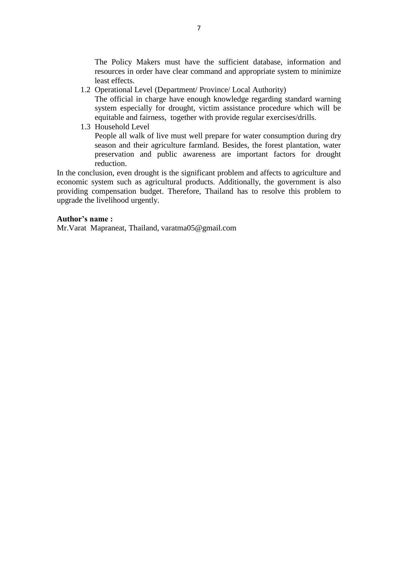The Policy Makers must have the sufficient database, information and resources in order have clear command and appropriate system to minimize least effects.

1.2 Operational Level (Department/ Province/ Local Authority)

The official in charge have enough knowledge regarding standard warning system especially for drought, victim assistance procedure which will be equitable and fairness, together with provide regular exercises/drills.

1.3 Household Level

People all walk of live must well prepare for water consumption during dry season and their agriculture farmland. Besides, the forest plantation, water preservation and public awareness are important factors for drought reduction.

In the conclusion, even drought is the significant problem and affects to agriculture and economic system such as agricultural products. Additionally, the government is also providing compensation budget. Therefore, Thailand has to resolve this problem to upgrade the livelihood urgently.

## **Author's name :**

Mr.Varat Mapraneat, Thailand, varatma05@gmail.com